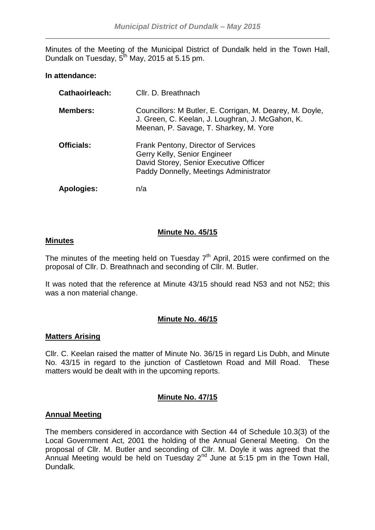Minutes of the Meeting of the Municipal District of Dundalk held in the Town Hall, Dundalk on Tuesday, 5<sup>th</sup> May, 2015 at 5.15 pm.

### **In attendance:**

| <b>Cathaoirleach:</b> | Cllr. D. Breathnach                                                                                                                                     |
|-----------------------|---------------------------------------------------------------------------------------------------------------------------------------------------------|
| <b>Members:</b>       | Councillors: M Butler, E. Corrigan, M. Dearey, M. Doyle,<br>J. Green, C. Keelan, J. Loughran, J. McGahon, K.<br>Meenan, P. Savage, T. Sharkey, M. Yore  |
| <b>Officials:</b>     | Frank Pentony, Director of Services<br>Gerry Kelly, Senior Engineer<br>David Storey, Senior Executive Officer<br>Paddy Donnelly, Meetings Administrator |
| <b>Apologies:</b>     | n/a                                                                                                                                                     |

# **Minute No. 45/15**

#### **Minutes**

The minutes of the meeting held on Tuesday  $7<sup>th</sup>$  April, 2015 were confirmed on the proposal of Cllr. D. Breathnach and seconding of Cllr. M. Butler.

It was noted that the reference at Minute 43/15 should read N53 and not N52; this was a non material change.

# **Minute No. 46/15**

# **Matters Arising**

Cllr. C. Keelan raised the matter of Minute No. 36/15 in regard Lis Dubh, and Minute No. 43/15 in regard to the junction of Castletown Road and Mill Road. These matters would be dealt with in the upcoming reports.

# **Minute No. 47/15**

# **Annual Meeting**

The members considered in accordance with Section 44 of Schedule 10.3(3) of the Local Government Act, 2001 the holding of the Annual General Meeting. On the proposal of Cllr. M. Butler and seconding of Cllr. M. Doyle it was agreed that the Annual Meeting would be held on Tuesday  $2<sup>nd</sup>$  June at 5:15 pm in the Town Hall, Dundalk.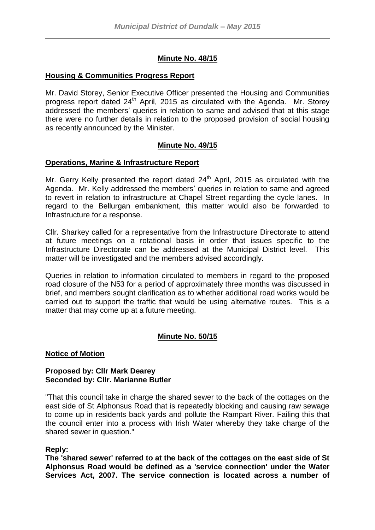# **Minute No. 48/15**

### **Housing & Communities Progress Report**

Mr. David Storey, Senior Executive Officer presented the Housing and Communities progress report dated 24<sup>th</sup> April, 2015 as circulated with the Agenda. Mr. Storey addressed the members' queries in relation to same and advised that at this stage there were no further details in relation to the proposed provision of social housing as recently announced by the Minister.

# **Minute No. 49/15**

#### **Operations, Marine & Infrastructure Report**

Mr. Gerry Kelly presented the report dated  $24<sup>th</sup>$  April, 2015 as circulated with the Agenda. Mr. Kelly addressed the members' queries in relation to same and agreed to revert in relation to infrastructure at Chapel Street regarding the cycle lanes. In regard to the Bellurgan embankment, this matter would also be forwarded to Infrastructure for a response.

Cllr. Sharkey called for a representative from the Infrastructure Directorate to attend at future meetings on a rotational basis in order that issues specific to the Infrastructure Directorate can be addressed at the Municipal District level. This matter will be investigated and the members advised accordingly.

Queries in relation to information circulated to members in regard to the proposed road closure of the N53 for a period of approximately three months was discussed in brief, and members sought clarification as to whether additional road works would be carried out to support the traffic that would be using alternative routes. This is a matter that may come up at a future meeting.

# **Minute No. 50/15**

#### **Notice of Motion**

#### **Proposed by: Cllr Mark Dearey Seconded by: Cllr. Marianne Butler**

"That this council take in charge the shared sewer to the back of the cottages on the east side of St Alphonsus Road that is repeatedly blocking and causing raw sewage to come up in residents back yards and pollute the Rampart River. Failing this that the council enter into a process with Irish Water whereby they take charge of the shared sewer in question."

#### **Reply:**

**The 'shared sewer' referred to at the back of the cottages on the east side of St Alphonsus Road would be defined as a 'service connection' under the Water Services Act, 2007. The service connection is located across a number of**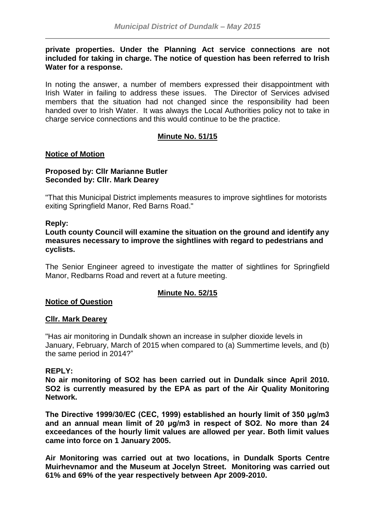### **private properties. Under the Planning Act service connections are not included for taking in charge. The notice of question has been referred to Irish Water for a response.**

In noting the answer, a number of members expressed their disappointment with Irish Water in failing to address these issues. The Director of Services advised members that the situation had not changed since the responsibility had been handed over to Irish Water. It was always the Local Authorities policy not to take in charge service connections and this would continue to be the practice.

# **Minute No. 51/15**

# **Notice of Motion**

# **Proposed by: Cllr Marianne Butler Seconded by: Cllr. Mark Dearey**

"That this Municipal District implements measures to improve sightlines for motorists exiting Springfield Manor, Red Barns Road."

#### **Reply:**

**Louth county Council will examine the situation on the ground and identify any measures necessary to improve the sightlines with regard to pedestrians and cyclists.**

The Senior Engineer agreed to investigate the matter of sightlines for Springfield Manor, Redbarns Road and revert at a future meeting.

# **Minute No. 52/15**

# **Notice of Question**

#### **Cllr. Mark Dearey**

"Has air monitoring in Dundalk shown an increase in sulpher dioxide levels in January, February, March of 2015 when compared to (a) Summertime levels, and (b) the same period in 2014?"

#### **REPLY:**

**No air monitoring of SO2 has been carried out in Dundalk since April 2010. SO2 is currently measured by the EPA as part of the Air Quality Monitoring Network.** 

**The Directive 1999/30/EC (CEC, 1999) established an hourly limit of 350 μg/m3 and an annual mean limit of 20 μg/m3 in respect of SO2. No more than 24 exceedances of the hourly limit values are allowed per year. Both limit values came into force on 1 January 2005.** 

**Air Monitoring was carried out at two locations, in Dundalk Sports Centre Muirhevnamor and the Museum at Jocelyn Street. Monitoring was carried out 61% and 69% of the year respectively between Apr 2009-2010.**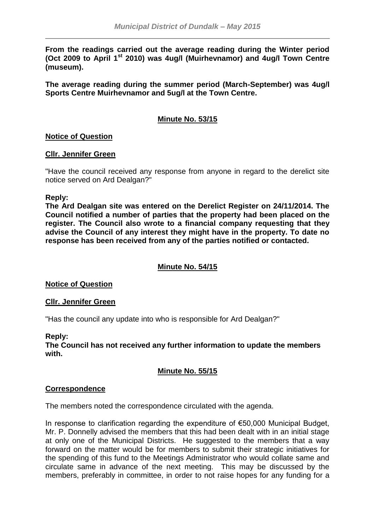**From the readings carried out the average reading during the Winter period (Oct 2009 to April 1st 2010) was 4ug/l (Muirhevnamor) and 4ug/l Town Centre (museum).** 

**The average reading during the summer period (March-September) was 4ug/l Sports Centre Muirhevnamor and 5ug/l at the Town Centre.** 

# **Minute No. 53/15**

# **Notice of Question**

#### **Cllr. Jennifer Green**

"Have the council received any response from anyone in regard to the derelict site notice served on Ard Dealgan?"

#### **Reply:**

**The Ard Dealgan site was entered on the Derelict Register on 24/11/2014. The Council notified a number of parties that the property had been placed on the register. The Council also wrote to a financial company requesting that they advise the Council of any interest they might have in the property. To date no response has been received from any of the parties notified or contacted.**

# **Minute No. 54/15**

**Notice of Question**

#### **Cllr. Jennifer Green**

"Has the council any update into who is responsible for Ard Dealgan?"

#### **Reply:**

**The Council has not received any further information to update the members with.**

# **Minute No. 55/15**

#### **Correspondence**

The members noted the correspondence circulated with the agenda.

In response to clarification regarding the expenditure of €50,000 Municipal Budget, Mr. P. Donnelly advised the members that this had been dealt with in an initial stage at only one of the Municipal Districts. He suggested to the members that a way forward on the matter would be for members to submit their strategic initiatives for the spending of this fund to the Meetings Administrator who would collate same and circulate same in advance of the next meeting. This may be discussed by the members, preferably in committee, in order to not raise hopes for any funding for a